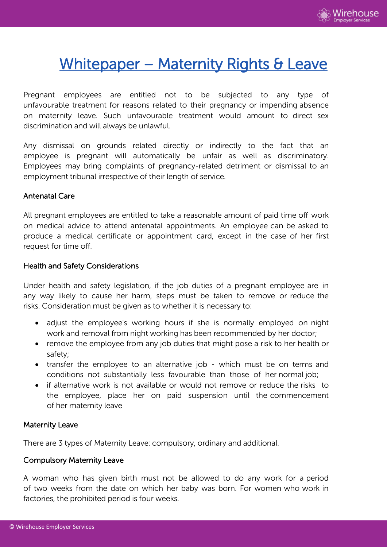

# Whitepaper - Maternity Rights & Leave

Pregnant employees are entitled not to be subjected to any type of unfavourable treatment for reasons related to their pregnancy or impending absence on maternity leave. Such unfavourable treatment would amount to direct sex discrimination and will always be unlawful.

Any dismissal on grounds related directly or indirectly to the fact that an employee is pregnant will automatically be unfair as well as discriminatory. Employees may bring complaints of pregnancy-related detriment or dismissal to an employment tribunal irrespective of their length of service.

#### Antenatal Care

All pregnant employees are entitled to take a reasonable amount of paid time off work on medical advice to attend antenatal appointments. An employee can be asked to produce a medical certificate or appointment card, except in the case of her first request for time off.

#### Health and Safety Considerations

Under health and safety legislation, if the job duties of a pregnant employee are in any way likely to cause her harm, steps must be taken to remove or reduce the risks. Consideration must be given as to whether it is necessary to:

- adjust the employee's working hours if she is normally employed on night work and removal from night working has been recommended by her doctor;
- remove the employee from any job duties that might pose a risk to her health or safety;
- transfer the employee to an alternative job which must be on terms and conditions not substantially less favourable than those of her normal job;
- if alternative work is not available or would not remove or reduce the risks to the employee, place her on paid suspension until the commencement of her maternity leave

#### Maternity Leave

There are 3 types of Maternity Leave: compulsory, ordinary and additional.

### Compulsory Maternity Leave

A woman who has given birth must not be allowed to do any work for a period of two weeks from the date on which her baby was born. For women who work in factories, the prohibited period is four weeks.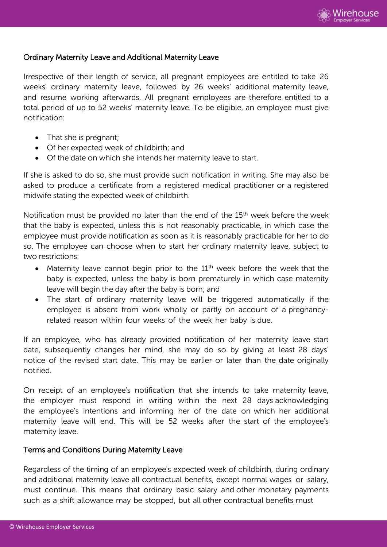

#### Ordinary Maternity Leave and Additional Maternity Leave

Irrespective of their length of service, all pregnant employees are entitled to take 26 weeks' ordinary maternity leave, followed by 26 weeks' additional maternity leave, and resume working afterwards. All pregnant employees are therefore entitled to a total period of up to 52 weeks' maternity leave. To be eligible, an employee must give notification:

- That she is pregnant;
- Of her expected week of childbirth; and
- Of the date on which she intends her maternity leave to start.

If she is asked to do so, she must provide such notification in writing. She may also be asked to produce a certificate from a registered medical practitioner or a registered midwife stating the expected week of childbirth.

Notification must be provided no later than the end of the 15<sup>th</sup> week before the week that the baby is expected, unless this is not reasonably practicable, in which case the employee must provide notification as soon as it is reasonably practicable for her to do so. The employee can choose when to start her ordinary maternity leave, subject to two restrictions:

- Maternity leave cannot begin prior to the 11<sup>th</sup> week before the week that the baby is expected, unless the baby is born prematurely in which case maternity leave will begin the day after the baby is born; and
- The start of ordinary maternity leave will be triggered automatically if the employee is absent from work wholly or partly on account of a pregnancyrelated reason within four weeks of the week her baby is due.

If an employee, who has already provided notification of her maternity leave start date, subsequently changes her mind, she may do so by giving at least 28 days' notice of the revised start date. This may be earlier or later than the date originally notified.

On receipt of an employee's notification that she intends to take maternity leave, the employer must respond in writing within the next 28 days acknowledging the employee's intentions and informing her of the date on which her additional maternity leave will end. This will be 52 weeks after the start of the employee's maternity leave.

#### Terms and Conditions During Maternity Leave

Regardless of the timing of an employee's expected week of childbirth, during ordinary and additional maternity leave all contractual benefits, except normal wages or salary, must continue. This means that ordinary basic salary and other monetary payments such as a shift allowance may be stopped, but all other contractual benefits must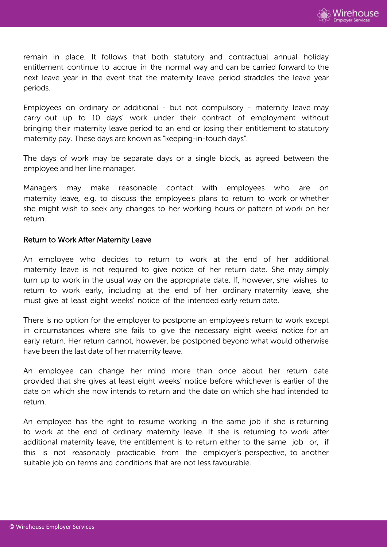

remain in place. It follows that both statutory and contractual annual holiday entitlement continue to accrue in the normal way and can be carried forward to the next leave year in the event that the maternity leave period straddles the leave year periods.

Employees on ordinary or additional - but not compulsory - maternity leave may carry out up to 10 days' work under their contract of employment without bringing their maternity leave period to an end or losing their entitlement to statutory maternity pay. These days are known as "keeping-in-touch days".

The days of work may be separate days or a single block, as agreed between the employee and her line manager.

Managers may make reasonable contact with employees who are on maternity leave, e.g. to discuss the employee's plans to return to work or whether she might wish to seek any changes to her working hours or pattern of work on her return.

#### Return to Work After Maternity Leave

An employee who decides to return to work at the end of her additional maternity leave is not required to give notice of her return date. She may simply turn up to work in the usual way on the appropriate date. If, however, she wishes to return to work early, including at the end of her ordinary maternity leave, she must give at least eight weeks' notice of the intended early return date.

There is no option for the employer to postpone an employee's return to work except in circumstances where she fails to give the necessary eight weeks' notice for an early return. Her return cannot, however, be postponed beyond what would otherwise have been the last date of her maternity leave.

An employee can change her mind more than once about her return date provided that she gives at least eight weeks' notice before whichever is earlier of the date on which she now intends to return and the date on which she had intended to return.

An employee has the right to resume working in the same job if she is returning to work at the end of ordinary maternity leave. If she is returning to work after additional maternity leave, the entitlement is to return either to the same job or, if this is not reasonably practicable from the employer's perspective, to another suitable job on terms and conditions that are not less favourable.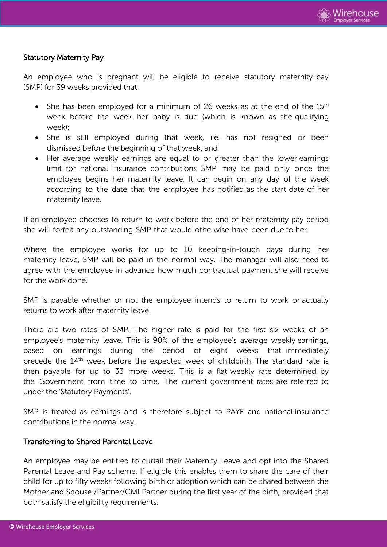

#### Statutory Maternity Pay

An employee who is pregnant will be eligible to receive statutory maternity pay (SMP) for 39 weeks provided that:

- She has been employed for a minimum of 26 weeks as at the end of the  $15<sup>th</sup>$ week before the week her baby is due (which is known as the qualifying week);
- She is still employed during that week, i.e. has not resigned or been dismissed before the beginning of that week; and
- Her average weekly earnings are equal to or greater than the lower earnings limit for national insurance contributions SMP may be paid only once the employee begins her maternity leave. It can begin on any day of the week according to the date that the employee has notified as the start date of her maternity leave.

If an employee chooses to return to work before the end of her maternity pay period she will forfeit any outstanding SMP that would otherwise have been due to her.

Where the employee works for up to 10 keeping-in-touch days during her maternity leave, SMP will be paid in the normal way. The manager will also need to agree with the employee in advance how much contractual payment she will receive for the work done.

SMP is payable whether or not the employee intends to return to work or actually returns to work after maternity leave.

There are two rates of SMP. The higher rate is paid for the first six weeks of an employee's maternity leave. This is 90% of the employee's average weekly earnings, based on earnings during the period of eight weeks that immediately precede the 14<sup>th</sup> week before the expected week of childbirth. The standard rate is then payable for up to 33 more weeks. This is a flat weekly rate determined by the Government from time to time. The current government rates are referred to under the 'Statutory Payments'.

SMP is treated as earnings and is therefore subject to PAYE and national insurance contributions in the normal way.

#### Transferring to Shared Parental Leave

An employee may be entitled to curtail their Maternity Leave and opt into the Shared Parental Leave and Pay scheme. If eligible this enables them to share the care of their child for up to fifty weeks following birth or adoption which can be shared between the Mother and Spouse /Partner/Civil Partner during the first year of the birth, provided that both satisfy the eligibility requirements.